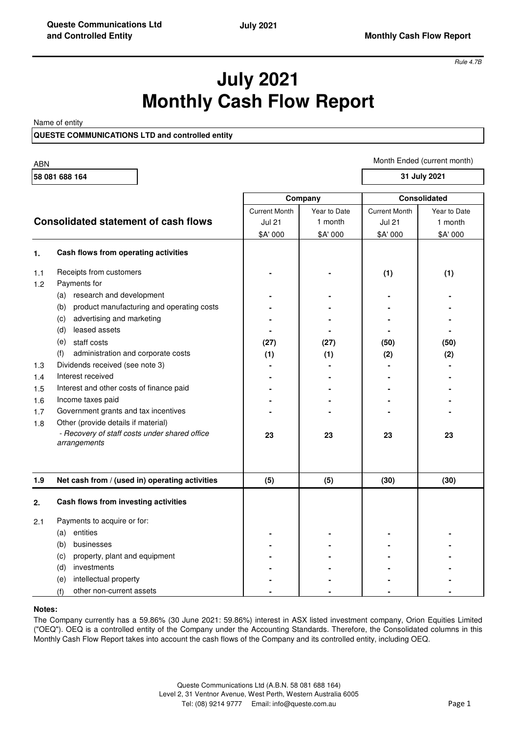*Rule 4.7B*

# **July 2021 Monthly Cash Flow Report**

Name of entity

**QUESTE COMMUNICATIONS LTD and controlled entity**

ABN **58 081 688 164** Current Month | Year to Date | Current Month | Year to Date **Consolidated statement of cash flows**  $\begin{array}{ccc} \hline \text{Jul 21} & \text{J month} & \text{Jull 21} & \text{Jull 21} \\ \end{array}$ \$A' 000 \$A' 000 \$A' 000 \$A' 000 **1. Cash flows from operating activities** 1.1 Receipts from customers **and the contract of the contract of the contract of the contract of the contract of the contract of the contract of the contract of the contract of the contract of the contract of the contract** 1.2 Payments for (a) research and development (b) product manufacturing and operating costs (c) advertising and marketing **and marketing**  $\begin{bmatrix} 1 & 1 \\ 1 & 1 \end{bmatrix}$  **-**  $\begin{bmatrix} 1 & 1 \\ 1 & 1 \end{bmatrix}$  **-**  $\begin{bmatrix} 1 & 1 \\ 1 & 1 \end{bmatrix}$ (d) leased assets **- - - -**  (e) staff costs **(27) (27) (50) (50)**  (f) administration and corporate costs **(1) (1) (2) (2)**  1.3 Dividends received (see note 3) 1.4 Interest received 1.5 Interest and other costs of finance paid 1.6 Income taxes paid 1.7 Government grants and tax incentives 1.8 Other (provide details if material) **23 23 23 23 1.9 Net cash from / (used in) operating activities (5) (5) (30) (30) 2. Cash flows from investing activities** 2.1 Payments to acquire or for: (a) entities **- - - -**  (b) businesses (c) property, plant and equipment (d) investments (e) intellectual property **- - - -**  (f) other non-current assets **Company Consolidated**  *- Recovery of staff costs under shared office arrangements* Month Ended (current month) **31 July 2021**

## **Notes:**

The Company currently has a 59.86% (30 June 2021: 59.86%) interest in ASX listed investment company, Orion Equities Limited ("OEQ"). OEQ is a controlled entity of the Company under the Accounting Standards. Therefore, the Consolidated columns in this Monthly Cash Flow Report takes into account the cash flows of the Company and its controlled entity, including OEQ.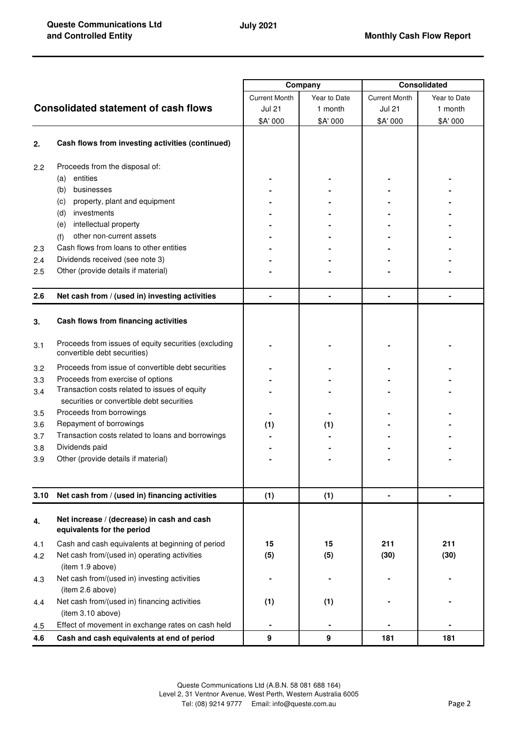|      |                                                                                      | Company              |              | <b>Consolidated</b>  |              |
|------|--------------------------------------------------------------------------------------|----------------------|--------------|----------------------|--------------|
|      |                                                                                      | <b>Current Month</b> | Year to Date | <b>Current Month</b> | Year to Date |
|      | <b>Consolidated statement of cash flows</b>                                          | <b>Jul 21</b>        | 1 month      | <b>Jul 21</b>        | 1 month      |
|      |                                                                                      | \$A' 000             | \$A' 000     | \$A' 000             | \$A' 000     |
|      |                                                                                      |                      |              |                      |              |
| 2.   | Cash flows from investing activities (continued)                                     |                      |              |                      |              |
| 2.2  | Proceeds from the disposal of:                                                       |                      |              |                      |              |
|      | entities<br>(a)                                                                      |                      |              |                      |              |
|      | businesses<br>(b)                                                                    |                      |              |                      |              |
|      | property, plant and equipment<br>(c)                                                 |                      |              |                      |              |
|      | investments<br>(d)                                                                   |                      |              |                      |              |
|      | intellectual property<br>(e)                                                         |                      |              |                      |              |
|      | other non-current assets<br>(f)                                                      |                      |              |                      |              |
| 2.3  | Cash flows from loans to other entities                                              |                      |              |                      |              |
| 2.4  | Dividends received (see note 3)                                                      |                      |              |                      |              |
| 2.5  | Other (provide details if material)                                                  |                      |              |                      |              |
|      |                                                                                      |                      |              |                      |              |
| 2.6  | Net cash from / (used in) investing activities                                       |                      |              |                      |              |
| 3.   | Cash flows from financing activities                                                 |                      |              |                      |              |
| 3.1  | Proceeds from issues of equity securities (excluding<br>convertible debt securities) |                      |              |                      |              |
| 3.2  | Proceeds from issue of convertible debt securities                                   |                      |              |                      |              |
| 3.3  | Proceeds from exercise of options                                                    |                      |              |                      |              |
| 3.4  | Transaction costs related to issues of equity                                        |                      |              |                      |              |
|      | securities or convertible debt securities                                            |                      |              |                      |              |
| 3.5  | Proceeds from borrowings                                                             |                      |              |                      |              |
| 3.6  | Repayment of borrowings                                                              | (1)                  | (1)          |                      |              |
| 3.7  | Transaction costs related to loans and borrowings                                    |                      |              |                      |              |
| 3.8  | Dividends paid                                                                       |                      |              |                      |              |
| 3.9  | Other (provide details if material)                                                  |                      |              |                      |              |
|      |                                                                                      |                      |              |                      |              |
| 3.10 | Net cash from / (used in) financing activities                                       | (1)                  | (1)          | $\blacksquare$       | ۰            |
| 4.   | Net increase / (decrease) in cash and cash<br>equivalents for the period             |                      |              |                      |              |
| 4.1  | Cash and cash equivalents at beginning of period                                     | 15                   | 15           | 211                  | 211          |
| 4.2  | Net cash from/(used in) operating activities                                         | (5)                  | (5)          | (30)                 | (30)         |
|      | (item 1.9 above)                                                                     |                      |              |                      |              |
| 4.3  | Net cash from/(used in) investing activities                                         |                      |              |                      |              |
|      | (item 2.6 above)                                                                     |                      |              |                      |              |
| 4.4  | Net cash from/(used in) financing activities<br>(item 3.10 above)                    | (1)                  | (1)          |                      |              |
| 4.5  | Effect of movement in exchange rates on cash held                                    |                      |              |                      |              |
| 4.6  | Cash and cash equivalents at end of period                                           | 9                    | 9            | 181                  | 181          |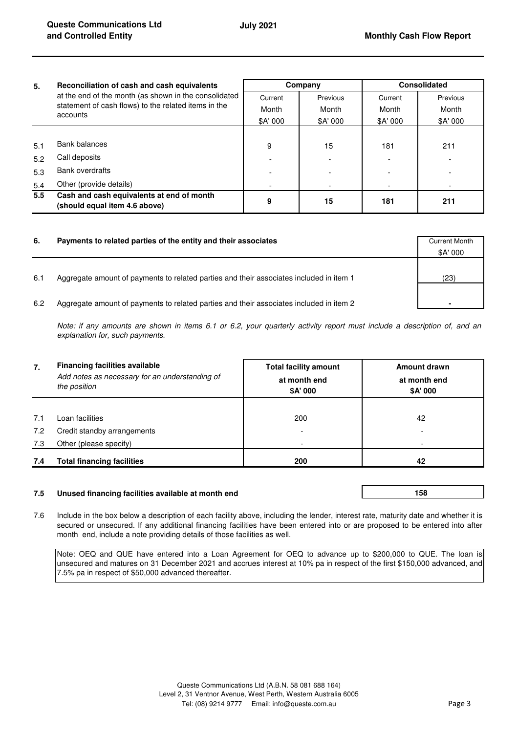| 5.            | Reconciliation of cash and cash equivalents<br>at the end of the month (as shown in the consolidated<br>statement of cash flows) to the related items in the<br>accounts | Company  |          | <b>Consolidated</b> |          |
|---------------|--------------------------------------------------------------------------------------------------------------------------------------------------------------------------|----------|----------|---------------------|----------|
|               |                                                                                                                                                                          | Current  | Previous | Current             | Previous |
|               |                                                                                                                                                                          | Month    | Month    | Month               | Month    |
|               |                                                                                                                                                                          | \$A' 000 | \$A' 000 | \$A' 000            | \$A' 000 |
|               |                                                                                                                                                                          |          |          |                     |          |
| 5.1           | Bank balances                                                                                                                                                            | 9        | 15       | 181                 | 211      |
| 5.2           | Call deposits                                                                                                                                                            |          |          |                     |          |
| 5.3           | <b>Bank overdrafts</b>                                                                                                                                                   |          |          |                     |          |
| 5.4           | Other (provide details)                                                                                                                                                  |          |          |                     |          |
| $5.5^{\circ}$ | Cash and cash equivalents at end of month<br>(should equal item 4.6 above)                                                                                               | 9        | 15       | 181                 | 211      |

| 6.  | Payments to related parties of the entity and their associates                          | <b>Current Month</b><br>\$A' 000 |
|-----|-----------------------------------------------------------------------------------------|----------------------------------|
| 6.1 | Aggregate amount of payments to related parties and their associates included in item 1 | (23)                             |
| 6.2 | Aggregate amount of payments to related parties and their associates included in item 2 |                                  |

*Note: if any amounts are shown in items 6.1 or 6.2, your quarterly activity report must include a description of, and an explanation for, such payments.*

| 7.  | <b>Financing facilities available</b><br>Add notes as necessary for an understanding of<br>the position | <b>Total facility amount</b><br>at month end<br>\$A' 000 | Amount drawn<br>at month end<br>\$A' 000 |  |
|-----|---------------------------------------------------------------------------------------------------------|----------------------------------------------------------|------------------------------------------|--|
|     |                                                                                                         |                                                          |                                          |  |
| 7.1 | Loan facilities                                                                                         | 200                                                      | 42                                       |  |
| 7.2 | Credit standby arrangements                                                                             |                                                          |                                          |  |
| 7.3 | Other (please specify)                                                                                  |                                                          |                                          |  |
| 7.4 | <b>Total financing facilities</b>                                                                       | 200                                                      | 42                                       |  |

# **7.5 Unused financing facilities available at month end**

**158** 

7.6 Include in the box below a description of each facility above, including the lender, interest rate, maturity date and whether it is secured or unsecured. If any additional financing facilities have been entered into or are proposed to be entered into after month end, include a note providing details of those facilities as well.

Note: OEQ and QUE have entered into a Loan Agreement for OEQ to advance up to \$200,000 to QUE. The loan is unsecured and matures on 31 December 2021 and accrues interest at 10% pa in respect of the first \$150,000 advanced, and 7.5% pa in respect of \$50,000 advanced thereafter.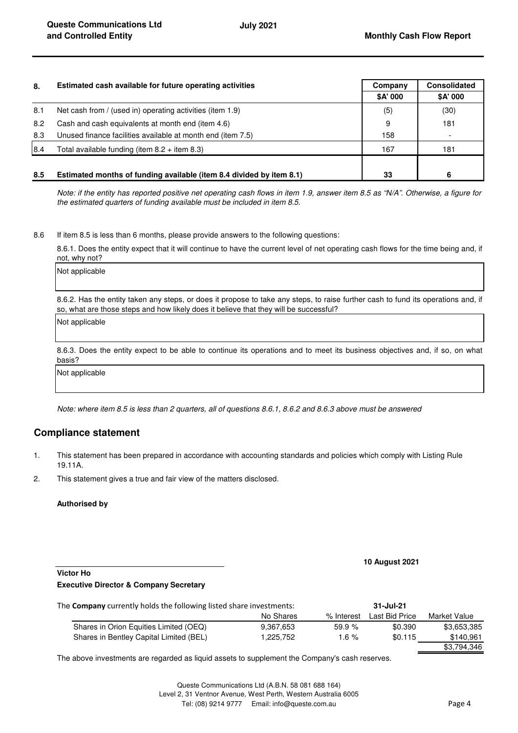| 8.  | Estimated cash available for future operating activities             | Company  | <b>Consolidated</b> |
|-----|----------------------------------------------------------------------|----------|---------------------|
|     |                                                                      | \$A' 000 | \$A' 000            |
| 8.1 | Net cash from / (used in) operating activities (item 1.9)            | (5)      | (30)                |
| 8.2 | Cash and cash equivalents at month end (item 4.6)                    | 9        | 181                 |
| 8.3 | Unused finance facilities available at month end (item 7.5)          | 158      |                     |
| 8.4 | Total available funding (item $8.2 +$ item $8.3$ )                   | 167      | 181                 |
|     |                                                                      |          |                     |
| 8.5 | Estimated months of funding available (item 8.4 divided by item 8.1) | 33       | 6                   |

*Note: if the entity has reported positive net operating cash flows in item 1.9, answer item 8.5 as "N/A". Otherwise, a figure for the estimated quarters of funding available must be included in item 8.5.*

8.6 If item 8.5 is less than 6 months, please provide answers to the following questions:

8.6.1. Does the entity expect that it will continue to have the current level of net operating cash flows for the time being and, if not, why not?

Not applicable

8.6.2. Has the entity taken any steps, or does it propose to take any steps, to raise further cash to fund its operations and, if so, what are those steps and how likely does it believe that they will be successful?

Not applicable

8.6.3. Does the entity expect to be able to continue its operations and to meet its business objectives and, if so, on what basis?

Not applicable

*Note: where item 8.5 is less than 2 quarters, all of questions 8.6.1, 8.6.2 and 8.6.3 above must be answered*

# **Compliance statement**

- 1. This statement has been prepared in accordance with accounting standards and policies which comply with Listing Rule 19.11A.
- 2. This statement gives a true and fair view of the matters disclosed.

#### **Authorised by**

#### **10 August 2021**

## **Victor Ho**

## **Executive Director & Company Secretary**

| The <b>Company</b> currently holds the following listed share investments: |           | 31-Jul-21  |                |              |
|----------------------------------------------------------------------------|-----------|------------|----------------|--------------|
|                                                                            | No Shares | % Interest | Last Bid Price | Market Value |
| Shares in Orion Equities Limited (OEQ)                                     | 9.367.653 | 59.9%      | \$0.390        | \$3,653,385  |
| Shares in Bentley Capital Limited (BEL)                                    | 1.225.752 | 1.6 $%$    | \$0.115        | \$140.961    |
|                                                                            |           |            |                | \$3,794,346  |

The above investments are regarded as liquid assets to supplement the Company's cash reserves.